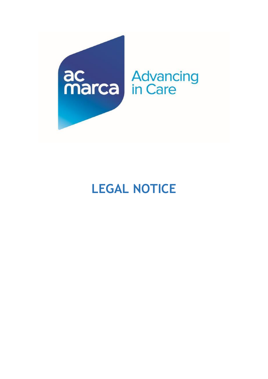

# **LEGAL NOTICE**